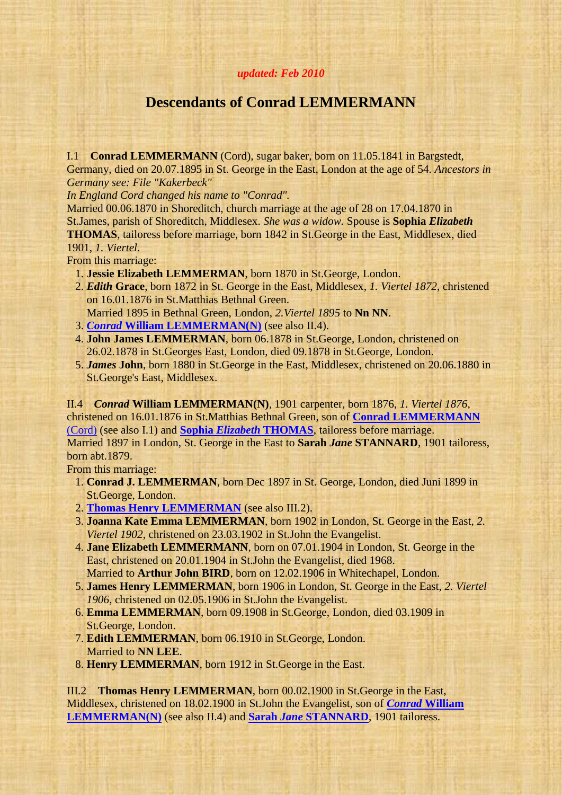## <span id="page-0-2"></span>*updated: Feb 2010*

## **Descendants of Conrad LEMMERMANN**

<span id="page-0-1"></span>I.1 **Conrad LEMMERMANN** (Cord), sugar baker, born on 11.05.1841 in Bargstedt, Germany, died on 20.07.1895 in St. George in the East, London at the age of 54. *Ancestors in Germany see: File "Kakerbeck"*

*In England Cord changed his name to "Conrad".*

Married 00.06.1870 in Shoreditch, church marriage at the age of 28 on 17.04.1870 in St.James, parish of Shoreditch, Middlesex. *She was a widow.* Spouse is **Sophia** *Elizabeth* **THOMAS**, tailoress before marriage, born 1842 in St.George in the East, Middlesex, died 1901, *1. Viertel*.

From this marriage:

- 1. **Jessie Elizabeth LEMMERMAN**, born 1870 in St.George, London.
- 2. *Edith* **Grace**, born 1872 in St. George in the East, Middlesex, *1. Viertel 1872*, christened on 16.01.1876 in St.Matthias Bethnal Green.
- Married 1895 in Bethnal Green, London, *2.Viertel 1895* to **Nn NN**.
- 3. *Conrad* **[William LEMMERMAN\(N\)](#page-0-0)** (see also II.4).
- 4. **John James LEMMERMAN**, born 06.1878 in St.George, London, christened on 26.02.1878 in St.Georges East, London, died 09.1878 in St.George, London.
- 5. *James* **John**, born 1880 in St.George in the East, Middlesex, christened on 20.06.1880 in St.George's East, Middlesex.

<span id="page-0-0"></span>II.4 *Conrad* **William LEMMERMAN(N)**, 1901 carpenter, born 1876, *1. Viertel 1876*, christened on 16.01.1876 in St.Matthias Bethnal Green, son of **[Conrad LEMMERMANN](#page-0-1)** [\(Cord\)](#page-0-1) (see also I.1) and **Sophia** *Elizabeth* **[THOMAS](#page-0-2)**, tailoress before marriage. Married 1897 in London, St. George in the East to **Sarah** *Jane* **STANNARD**, 1901 tailoress, born abt.1879.

From this marriage:

- <span id="page-0-4"></span> 1. **Conrad J. LEMMERMAN**, born Dec 1897 in St. George, London, died Juni 1899 in St.George, London.
- 2. **[Thomas Henry LEMMERMAN](#page-0-3)** (see also III.2).
- 3. **Joanna Kate Emma LEMMERMAN**, born 1902 in London, St. George in the East, *2. Viertel 1902*, christened on 23.03.1902 in St.John the Evangelist.
- 4. **Jane Elizabeth LEMMERMANN**, born on 07.01.1904 in London, St. George in the East, christened on 20.01.1904 in St.John the Evangelist, died 1968. Married to **Arthur John BIRD**, born on 12.02.1906 in Whitechapel, London.
- 5. **James Henry LEMMERMAN**, born 1906 in London, St. George in the East, *2. Viertel 1906*, christened on 02.05.1906 in St.John the Evangelist.
- 6. **Emma LEMMERMAN**, born 09.1908 in St.George, London, died 03.1909 in St.George, London.
- 7. **Edith LEMMERMAN**, born 06.1910 in St.George, London. Married to **NN LEE**.
- 8. **Henry LEMMERMAN**, born 1912 in St.George in the East.

<span id="page-0-3"></span>III.2 **Thomas Henry LEMMERMAN**, born 00.02.1900 in St.George in the East, Middlesex, christened on 18.02.1900 in St.John the Evangelist, son of *Conrad* **[William](#page-0-0)  [LEMMERMAN\(N\)](#page-0-0)** (see also II.4) and **Sarah** *Jane* **[STANNARD](#page-0-4)**, 1901 tailoress.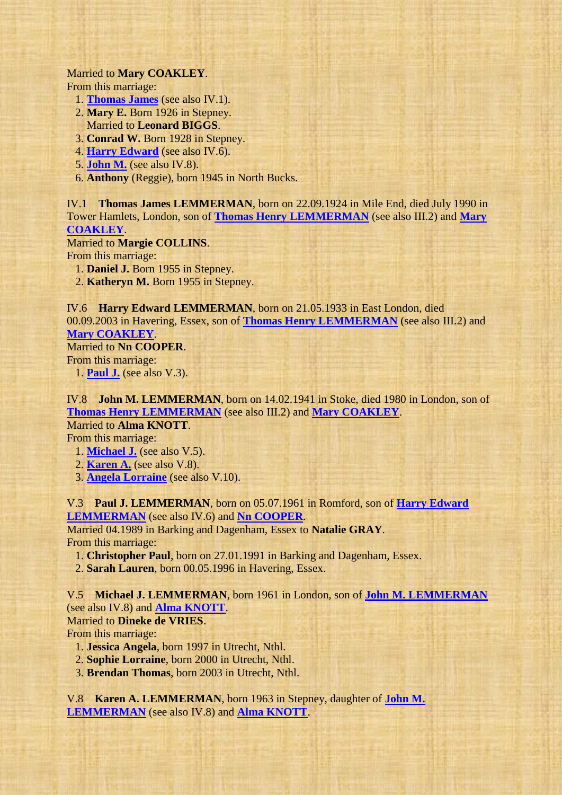## Married to **Mary COAKLEY**.

From this marriage:

- <span id="page-1-3"></span>1. **[Thomas James](#page-1-0)** (see also IV.1).
- 2. **Mary E.** Born 1926 in Stepney. Married to **Leonard BIGGS**.
- 3. **Conrad W.** Born 1928 in Stepney.
- 4. **[Harry Edward](#page-1-1)** (see also IV.6).
- 5. **[John M.](#page-1-2)** (see also IV.8).
- 6. **Anthony** (Reggie), born 1945 in North Bucks.

<span id="page-1-0"></span>IV.1 **Thomas James LEMMERMAN**, born on 22.09.1924 in Mile End, died July 1990 in Tower Hamlets, London, son of **[Thomas Henry LEMMERMAN](#page-0-3)** (see also III.2) and **[Mary](#page-1-3)  [COAKLEY](#page-1-3)**.

## Married to **Margie COLLINS**.

From this marriage:

1. **Daniel J.** Born 1955 in Stepney.

2. **Katheryn M.** Born 1955 in Stepney.

<span id="page-1-1"></span>IV.6 **Harry Edward LEMMERMAN**, born on 21.05.1933 in East London, died 00.09.2003 in Havering, Essex, son of **[Thomas Henry LEMMERMAN](#page-0-3)** (see also III.2) and **[Mary COAKLEY](#page-1-3)**.

<span id="page-1-7"></span>Married to **Nn COOPER**. From this marriage:

1. **[Paul J.](#page-1-4)** (see also V.3).

<span id="page-1-2"></span>IV.8 **John M. LEMMERMAN**, born on 14.02.1941 in Stoke, died 1980 in London, son of **[Thomas Henry LEMMERMAN](#page-0-3)** (see also III.2) and **[Mary COAKLEY](#page-1-3)**. Married to **Alma KNOTT**.

From this marriage:

- <span id="page-1-8"></span>1. **[Michael J.](#page-1-5)** (see also V.5).
- 2. **[Karen A.](#page-1-6)** (see also V.8).

3. **[Angela Lorraine](#page-2-0)** (see also V.10).

<span id="page-1-4"></span>V.3 **Paul J. LEMMERMAN**, born on 05.07.1961 in Romford, son of **[Harry Edward](#page-1-1)  [LEMMERMAN](#page-1-1)** (see also IV.6) and **[Nn COOPER](#page-1-7)**.

Married 04.1989 in Barking and Dagenham, Essex to **Natalie GRAY**. From this marriage:

1. **Christopher Paul**, born on 27.01.1991 in Barking and Dagenham, Essex.

2. **Sarah Lauren**, born 00.05.1996 in Havering, Essex.

<span id="page-1-5"></span>V.5 **Michael J. LEMMERMAN**, born 1961 in London, son of **[John M. LEMMERMAN](#page-1-2)** (see also IV.8) and **[Alma KNOTT](#page-1-8)**. Married to **Dineke de VRIES**.

From this marriage:

- 1. **Jessica Angela**, born 1997 in Utrecht, Nthl.
- 2. **Sophie Lorraine**, born 2000 in Utrecht, Nthl.
- 3. **Brendan Thomas**, born 2003 in Utrecht, Nthl.

<span id="page-1-6"></span>V.8 **Karen A. LEMMERMAN**, born 1963 in Stepney, daughter of **[John M.](#page-1-2)  [LEMMERMAN](#page-1-2)** (see also IV.8) and **[Alma KNOTT](#page-1-8)**.